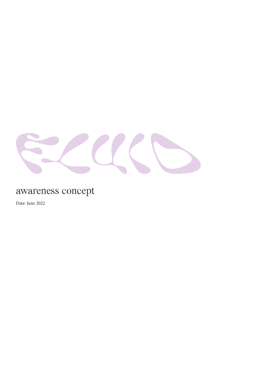

# awareness concept

Date: June 2022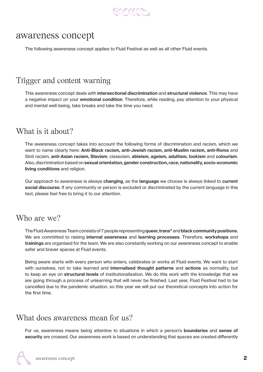

## awareness concept

The following awareness concept applies to Fluid Festival as well as all other Fluid events.

## Trigger and content warning

This awareness concept deals with **intersectional discrimination** and **structural violence**. This may have a negative impact on your **emotional condition**. Therefore, while reading, pay attention to your physical and mental well-being, take breaks and take the time you need.

## What is it about?

The awareness concept takes into account the following forms of discrimination and racism, which we want to name clearly here: **Anti-Black racism, anti-Jewish racism, anti-Muslim racism, anti-Roma** and Sinti racism, **anti-Asian racism, Slavism**, cissexism, **ableism, ageism, adultism, lookism** and **colourism**. Also, discrimination based on **sexual orientation, gender construction,** *race***, nationality, socio-economic living conditions** and religion.

Our approach to awareness is always **changing**, as the **language** we choose is always linked to **current social discourse**. If any community or person is excluded or discriminated by the current language in this text, please feel free to bring it to our attention.

#### Who are we?

The Fluid Awareness Team consists of 7 people representing **queer, trans\*** and **black community positions**. We are committed to raising **internal awareness** and **learning processes**. Therefore, **workshops** and **trainings** are organised for the team. We are also constantly working on our awareness concept to enable safer and braver spaces at Fluid events.

Being aware starts with every person who enters, celebrates or works at Fluid events. We want to start with ourselves, not to take learned and **internalised thought patterns** and **actions** as normality, but to keep an eye on **structural levels** of institutionalisation. We do this work with the knowledge that we are going through a process of unlearning that will never be finished. Last year, Fluid Festival had to be cancelled due to the pandemic situation, so this year we will put our theoretical concepts into action for the first time.

## What does awareness mean for us?

For us, awareness means being attentive to situations in which a person's **boundaries** and **sense of security** are crossed. Our awareness work is based on understanding that spaces are created differently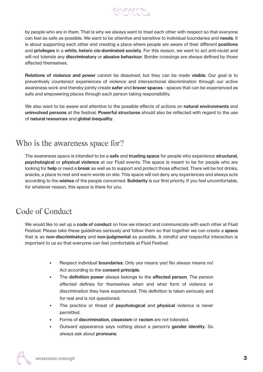

by people who are in them. That is why we always want to treat each other with respect so that everyone can feel as safe as possible. We want to be attentive and sensitive to individual boundaries and **needs**. It is about supporting each other and creating a place where people are aware of their different **positions** and **privileges** in a *white***, hetero cis-dominated society**. For this reason, we want to act anti-racist and will not tolerate any **discriminatory** or **abusive behaviour**. Border crossings are always defined by those affected themselves.

**Relations of violence and power** cannot be dissolved, but they can be made **visible**. Our goal is to preventively counteract experiences of violence and intersectional discrimination through our active awareness work and thereby jointly create **safer** and **braver spaces** - spaces that can be experienced as safe and empowering places through each person taking responsibility.

We also want to be aware and attentive to the possible effects of actions on **natural environments** and **uninvolved persons** at the festival. **Powerful structures** should also be reflected with regard to the use of **natural resources** and **global inequality**.

## Who is the awareness space for?

The awareness space is intended to be a **safe** and **trusting space** for people who experience **structural, psychological** or **physical violence** at our Fluid events. The space is meant to be for people who are looking for **help** or need a **break** as well as to support and protect those affected. There will be hot drinks, snacks, a place to rest and warm words on site. This space will not deny any experiences and always acts according to the **wishes** of the people concerned. **Solidarity** is our first priority. If you feel uncomfortable, for whatever reason, this space is there for you.

# Code of Conduct

We would like to set up a **code of conduct** on how we interact and communicate with each other at Fluid Festival. Please take these guidelines seriously and follow them so that together we can create a **space** that is as **non-discriminatory** and **non-judgmental** as possible. A mindful and respectful interaction is important to us so that everyone can feel comfortable at Fluid Festival.

- Respect individual **boundaries**: Only yes means yes! No always means no! Act according to the **consent principle**.
- The **definition power** always belongs to the **affected person**. The person affected defines for themselves when and what form of violence or discrimination they have experienced. This definition is taken seriously and for real and is not questioned.
- The practice or threat of **psychological** and **physical** violence is never permitted.
- Forms of **discrimination**, **cissexism** or **racism** are not tolerated.
- Outward appearance says nothing about a person's **gender identity**. So always ask about **pronouns**.